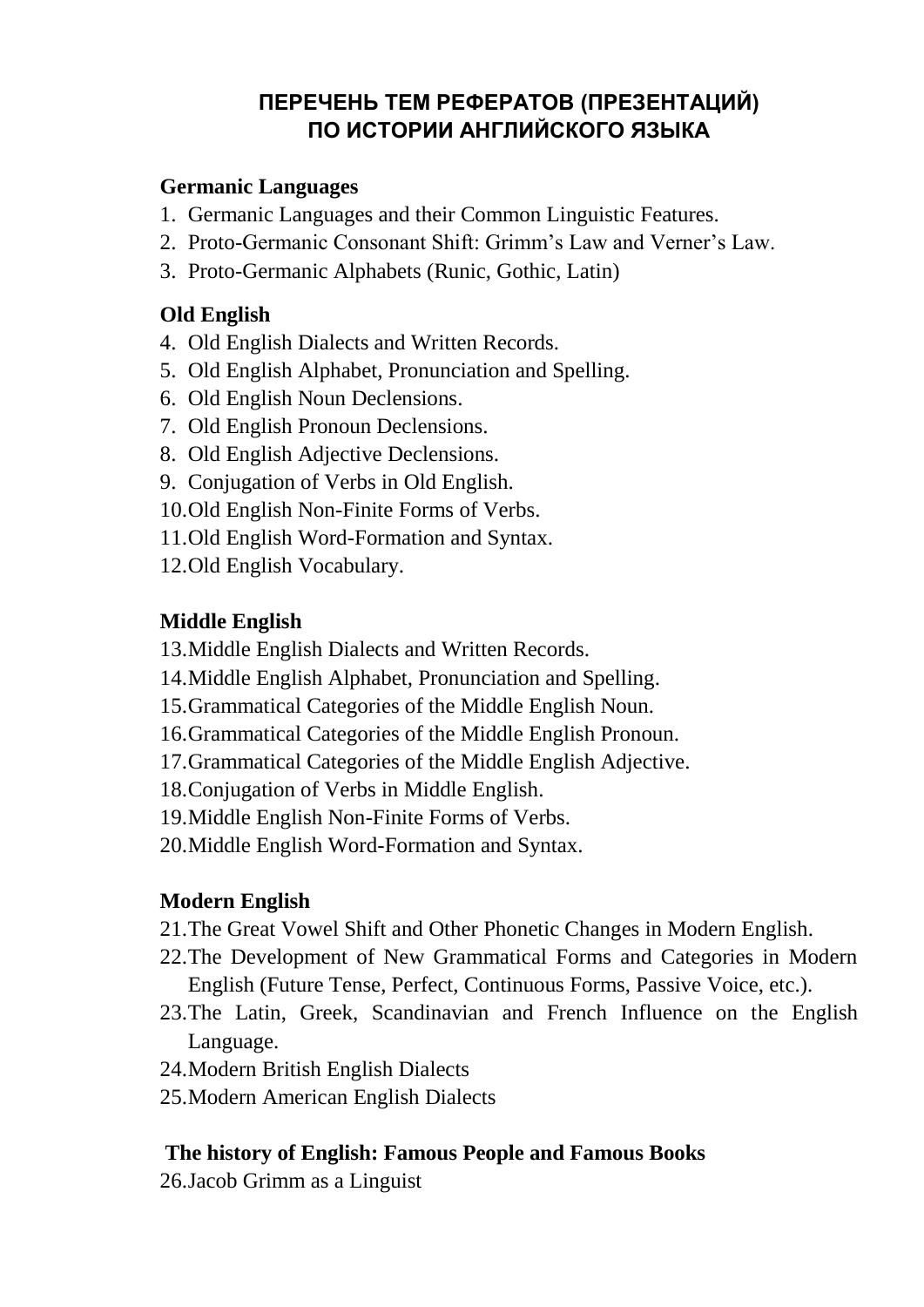# **ПЕРЕЧЕНЬ ТЕМ РЕФЕРАТОВ (ПРЕЗЕНТАЦИЙ) ПО ИСТОРИИ АНГЛИЙСКОГО ЯЗЫКА**

## **Germanic Languages**

- 1. Germanic Languages and their Common Linguistic Features.
- 2. Proto-Germanic Consonant Shift: Grimm's Law and Verner's Law.
- 3. Proto-Germanic Alphabets (Runic, Gothic, Latin)

### **Old English**

- 4. Old English Dialects and Written Records.
- 5. Old English Alphabet, Pronunciation and Spelling.
- 6. Old English Noun Declensions.
- 7. Old English Pronoun Declensions.
- 8. Old English Adjective Declensions.
- 9. Conjugation of Verbs in Old English.
- 10.Old English Non-Finite Forms of Verbs.
- 11.Old English Word-Formation and Syntax.
- 12.Old English Vocabulary.

## **Middle English**

- 13.Middle English Dialects and Written Records.
- 14.Middle English Alphabet, Pronunciation and Spelling.
- 15.Grammatical Categories of the Middle English Noun.
- 16.Grammatical Categories of the Middle English Pronoun.
- 17.Grammatical Categories of the Middle English Adjective.
- 18.Conjugation of Verbs in Middle English.
- 19.Middle English Non-Finite Forms of Verbs.
- 20.Middle English Word-Formation and Syntax.

## **Modern English**

- 21.The Great Vowel Shift and Other Phonetic Changes in Modern English.
- 22.The Development of New Grammatical Forms and Categories in Modern English (Future Tense, Perfect, Continuous Forms, Passive Voice, etc.).
- 23.The Latin, Greek, Scandinavian and French Influence on the English Language.
- 24.Modern British English Dialects
- 25.Modern American English Dialects

## **The history of English: Famous People and Famous Books**

26.Jacob Grimm as a Linguist